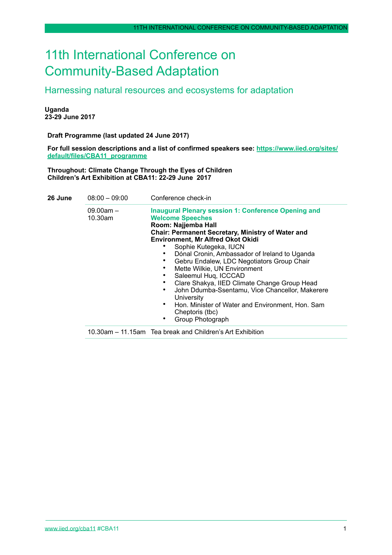# 11th International Conference on Community-Based Adaptation

Harnessing natural resources and ecosystems for adaptation

**Uganda 23-29 June 2017** 

**Draft Programme (last updated 24 June 2017)**

**[For full session descriptions and a list of confirmed speakers see: https://www.iied.org/sites/](https://www.iied.org/sites/default/files/CBA11_programme) default/files/CBA11\_programme**

**Throughout: Climate Change Through the Eyes of Children Children's Art Exhibition at CBA11: 22-29 June 2017**

| 26 June | $08:00 - 09:00$        | Conference check-in                                                                                                                                                                                                                                                                                                                                                                                                                                                                                                                                                                                                 |
|---------|------------------------|---------------------------------------------------------------------------------------------------------------------------------------------------------------------------------------------------------------------------------------------------------------------------------------------------------------------------------------------------------------------------------------------------------------------------------------------------------------------------------------------------------------------------------------------------------------------------------------------------------------------|
|         | $09.00am -$<br>10.30am | <b>Inaugural Plenary session 1: Conference Opening and</b><br><b>Welcome Speeches</b><br>Room: Najjemba Hall<br>Chair: Permanent Secretary, Ministry of Water and<br><b>Environment, Mr Alfred Okot Okidi</b><br>Sophie Kutegeka, IUCN<br>Dónal Cronin, Ambassador of Ireland to Uganda<br>Gebru Endalew, LDC Negotiators Group Chair<br>Mette Wilkie, UN Environment<br>Saleemul Hug, ICCCAD<br>Clare Shakya, IIED Climate Change Group Head<br>John Ddumba-Ssentamu, Vice Chancellor, Makerere<br>٠<br>University<br>Hon. Minister of Water and Environment, Hon. Sam<br>٠<br>Cheptoris (tbc)<br>Group Photograph |
|         |                        | 10.30am – 11.15am Tea break and Children's Art Exhibition                                                                                                                                                                                                                                                                                                                                                                                                                                                                                                                                                           |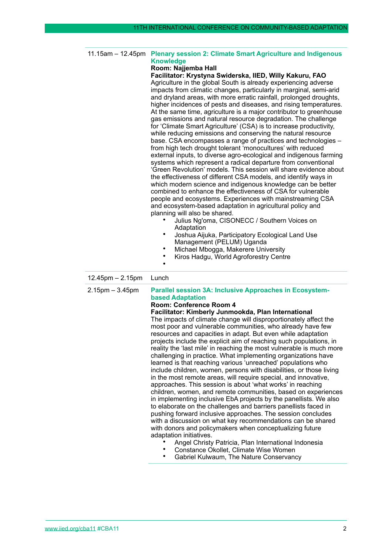# 11.15am – 12.45pm **Plenary session 2: Climate Smart Agriculture and Indigenous Knowledge Room: Najjemba Hall Facilitator: Krystyna Swiderska, IIED, Willy Kakuru, FAO** Agriculture in the global South is already experiencing adverse impacts from climatic changes, particularly in marginal, semi-arid and dryland areas, with more erratic rainfall, prolonged droughts, higher incidences of pests and diseases, and rising temperatures. At the same time, agriculture is a major contributor to greenhouse gas emissions and natural resource degradation. The challenge for 'Climate Smart Agriculture' (CSA) is to increase productivity, while reducing emissions and conserving the natural resource base. CSA encompasses a range of practices and technologies – from high tech drought tolerant 'monocultures' with reduced external inputs, to diverse agro-ecological and indigenous farming systems which represent a radical departure from conventional 'Green Revolution' models. This session will share evidence about the effectiveness of different CSA models, and identify ways in which modern science and indigenous knowledge can be better combined to enhance the effectiveness of CSA for vulnerable people and ecosystems. Experiences with mainstreaming CSA and ecosystem-based adaptation in agricultural policy and planning will also be shared. • Julius Ng'oma, CISONECC / Southern Voices on **Adaptation** • Joshua Aijuka, Participatory Ecological Land Use Management (PELUM) Uganda • Michael Mbogga, Makerere University • Kiros Hadgu, World Agroforestry Centre • 12.45pm – 2.15pm Lunch 2.15pm – 3.45pm **Parallel session 3A: Inclusive Approaches in Ecosystembased Adaptation Room: Conference Room 4 Facilitator: Kimberly Junmookda, Plan International** The impacts of climate change will disproportionately affect the most poor and vulnerable communities, who already have few resources and capacities in adapt. But even while adaptation

projects include the explicit aim of reaching such populations, in reality the 'last mile' in reaching the most vulnerable is much more challenging in practice. What implementing organizations have learned is that reaching various 'unreached' populations who include children, women, persons with disabilities, or those living in the most remote areas, will require special, and innovative, approaches. This session is about 'what works' in reaching children, women, and remote communities, based on experiences in implementing inclusive EbA projects by the panellists. We also to elaborate on the challenges and barriers panellists faced in pushing forward inclusive approaches. The session concludes with a discussion on what key recommendations can be shared with donors and policymakers when conceptualizing future adaptation initiatives.

- Angel Christy Patricia, Plan International Indonesia
- Constance Okollet, Climate Wise Women
- Gabriel Kulwaum, The Nature Conservancy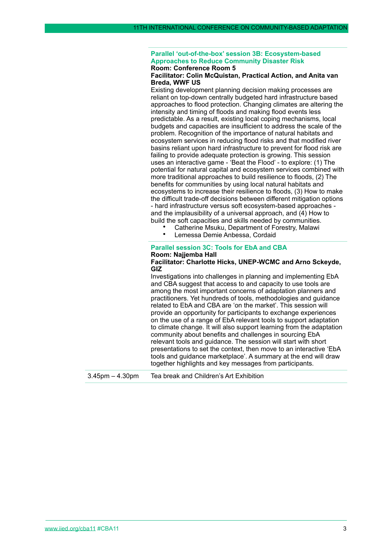#### **Parallel 'out-of-the-box' session 3B: Ecosystem-based Approaches to Reduce Community Disaster Risk Room: Conference Room 5**

# **Facilitator: Colin McQuistan, Practical Action, and Anita van Breda, WWF US**

Existing development planning decision making processes are reliant on top-down centrally budgeted hard infrastructure based approaches to flood protection. Changing climates are altering the intensity and timing of floods and making flood events less predictable. As a result, existing local coping mechanisms, local budgets and capacities are insufficient to address the scale of the problem. Recognition of the importance of natural habitats and ecosystem services in reducing flood risks and that modified river basins reliant upon hard infrastructure to prevent for flood risk are failing to provide adequate protection is growing. This session uses an interactive game - 'Beat the Flood' - to explore: (1) The potential for natural capital and ecosystem services combined with more traditional approaches to build resilience to floods, (2) The benefits for communities by using local natural habitats and ecosystems to increase their resilience to floods, (3) How to make the difficult trade-off decisions between different mitigation options - hard infrastructure versus soft ecosystem-based approaches and the implausibility of a universal approach, and (4) How to build the soft capacities and skills needed by communities.

- Catherine Msuku, Department of Forestry, Malawi<br>• Lemessa Demie Anbessa, Cordaid
	- Lemessa Demie Anbessa, Cordaid

# **Parallel session 3C: Tools for EbA and CBA Room: Najjemba Hall**

#### **Facilitator: Charlotte Hicks, UNEP-WCMC and Arno Sckeyde, GIZ**

Investigations into challenges in planning and implementing EbA and CBA suggest that access to and capacity to use tools are among the most important concerns of adaptation planners and practitioners. Yet hundreds of tools, methodologies and guidance related to EbA and CBA are 'on the market'. This session will provide an opportunity for participants to exchange experiences on the use of a range of EbA relevant tools to support adaptation to climate change. It will also support learning from the adaptation community about benefits and challenges in sourcing EbA relevant tools and guidance. The session will start with short presentations to set the context, then move to an interactive 'EbA tools and guidance marketplace'. A summary at the end will draw together highlights and key messages from participants.

3.45pm – 4.30pm Tea break and Children's Art Exhibition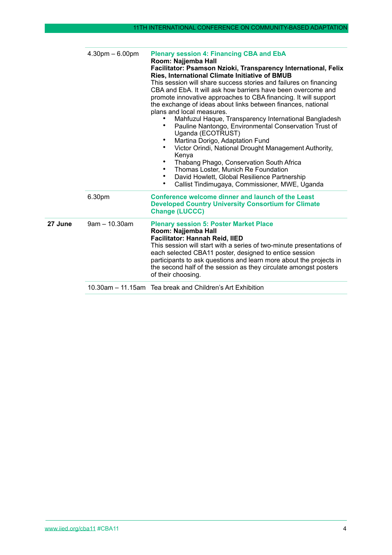|         | $4.30pm - 6.00pm$ | <b>Plenary session 4: Financing CBA and EbA</b><br>Room: Najjemba Hall<br>Facilitator: Psamson Nzioki, Transparency International, Felix<br>Ries, International Climate Initiative of BMUB<br>This session will share success stories and failures on financing<br>CBA and EbA. It will ask how barriers have been overcome and<br>promote innovative approaches to CBA financing. It will support<br>the exchange of ideas about links between finances, national<br>plans and local measures.<br>Mahfuzul Haque, Transparency International Bangladesh<br>Pauline Nantongo, Environmental Conservation Trust of<br>Uganda (ECOTRUST)<br>Martina Dorigo, Adaptation Fund<br>Victor Orindi, National Drought Management Authority,<br>٠<br>Kenya<br>٠<br>Thabang Phago, Conservation South Africa<br>Thomas Loster, Munich Re Foundation<br>٠<br>David Howlett, Global Resilience Partnership<br>Callist Tindimugaya, Commissioner, MWE, Uganda<br>٠ |
|---------|-------------------|------------------------------------------------------------------------------------------------------------------------------------------------------------------------------------------------------------------------------------------------------------------------------------------------------------------------------------------------------------------------------------------------------------------------------------------------------------------------------------------------------------------------------------------------------------------------------------------------------------------------------------------------------------------------------------------------------------------------------------------------------------------------------------------------------------------------------------------------------------------------------------------------------------------------------------------------------|
|         | 6.30pm            | Conference welcome dinner and launch of the Least<br><b>Developed Country University Consortium for Climate</b><br><b>Change (LUCCC)</b>                                                                                                                                                                                                                                                                                                                                                                                                                                                                                                                                                                                                                                                                                                                                                                                                             |
| 27 June | $9am - 10.30am$   | <b>Plenary session 5: Poster Market Place</b><br>Room: Najjemba Hall<br>Facilitator: Hannah Reid, IIED<br>This session will start with a series of two-minute presentations of<br>each selected CBA11 poster, designed to entice session<br>participants to ask questions and learn more about the projects in<br>the second half of the session as they circulate amongst posters<br>of their choosing.                                                                                                                                                                                                                                                                                                                                                                                                                                                                                                                                             |
|         |                   | 10.30am – 11.15am Tea break and Children's Art Exhibition                                                                                                                                                                                                                                                                                                                                                                                                                                                                                                                                                                                                                                                                                                                                                                                                                                                                                            |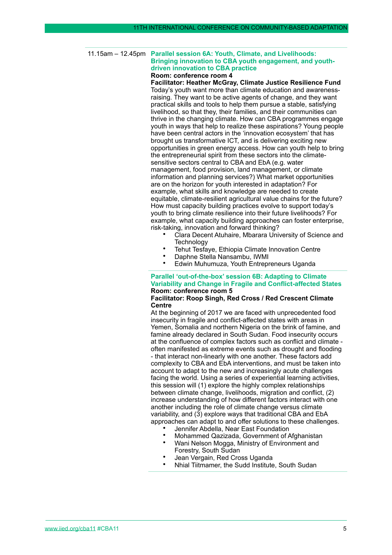#### 11.15am – 12.45pm **Parallel session 6A: Youth, Climate, and Livelihoods: Bringing innovation to CBA youth engagement, and youthdriven innovation to CBA practice Room: conference room 4**

**Facilitator: Heather McGray, Climate Justice Resilience Fund** Today's youth want more than climate education and awarenessraising. They want to be active agents of change, and they want practical skills and tools to help them pursue a stable, satisfying livelihood, so that they, their families, and their communities can thrive in the changing climate. How can CBA programmes engage youth in ways that help to realize these aspirations? Young people have been central actors in the 'innovation ecosystem' that has brought us transformative ICT, and is delivering exciting new opportunities in green energy access. How can youth help to bring the entrepreneurial spirit from these sectors into the climatesensitive sectors central to CBA and EbA (e.g. water management, food provision, land management, or climate information and planning services?) What market opportunities are on the horizon for youth interested in adaptation? For example, what skills and knowledge are needed to create equitable, climate-resilient agricultural value chains for the future? How must capacity building practices evolve to support today's youth to bring climate resilience into their future livelihoods? For example, what capacity building approaches can foster enterprise, risk-taking, innovation and forward thinking?

- Clara Decent Atuhaire, Mbarara University of Science and **Technology**
- Tehut Tesfaye, Ethiopia Climate Innovation Centre
- Daphne Stella Nansambu, IWMI
- Edwin Muhumuza, Youth Entrepreneurs Uganda

#### **Parallel 'out-of-the-box' session 6B: Adapting to Climate Variability and Change in Fragile and Conflict-affected States Room: conference room 5**

# **Facilitator: Roop Singh, Red Cross / Red Crescent Climate Centre**

At the beginning of 2017 we are faced with unprecedented food insecurity in fragile and conflict-affected states with areas in Yemen, Somalia and northern Nigeria on the brink of famine, and famine already declared in South Sudan. Food insecurity occurs at the confluence of complex factors such as conflict and climate often manifested as extreme events such as drought and flooding - that interact non-linearly with one another. These factors add complexity to CBA and EbA interventions, and must be taken into account to adapt to the new and increasingly acute challenges facing the world. Using a series of experiential learning activities, this session will (1) explore the highly complex relationships between climate change, livelihoods, migration and conflict, (2) increase understanding of how different factors interact with one another including the role of climate change versus climate variability, and (3) explore ways that traditional CBA and EbA approaches can adapt to and offer solutions to these challenges.

- Jennifer Abdella, Near East Foundation
	- Mohammed Qazizada, Government of Afghanistan
- Wani Nelson Mogga, Ministry of Environment and Forestry, South Sudan
- Jean Vergain, Red Cross Uganda
- Nhial Tiitmamer, the Sudd Institute, South Sudan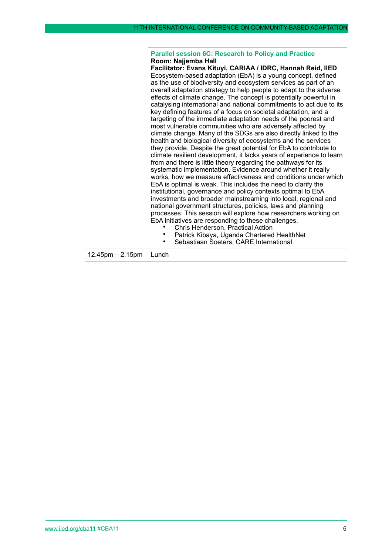#### **Parallel session 6C: Research to Policy and Practice Room: Najjemba Hall**

**Facilitator: Evans Kituyi, CARIAA / IDRC, Hannah Reid, IIED** Ecosystem-based adaptation (EbA) is a young concept, defined as the use of biodiversity and ecosystem services as part of an overall adaptation strategy to help people to adapt to the adverse effects of climate change. The concept is potentially powerful in catalysing international and national commitments to act due to its key defining features of a focus on societal adaptation, and a targeting of the immediate adaptation needs of the poorest and most vulnerable communities who are adversely affected by climate change. Many of the SDGs are also directly linked to the health and biological diversity of ecosystems and the services they provide. Despite the great potential for EbA to contribute to climate resilient development, it lacks years of experience to learn from and there is little theory regarding the pathways for its systematic implementation. Evidence around whether it really works, how we measure effectiveness and conditions under which EbA is optimal is weak. This includes the need to clarify the institutional, governance and policy contexts optimal to EbA investments and broader mainstreaming into local, regional and national government structures, policies, laws and planning processes. This session will explore how researchers working on EbA initiatives are responding to these challenges.

- Chris Henderson, Practical Action
- Patrick Kibaya, Uganda Chartered HealthNet
	- Sebastiaan Soeters, CARE International

12.45pm – 2.15pm Lunch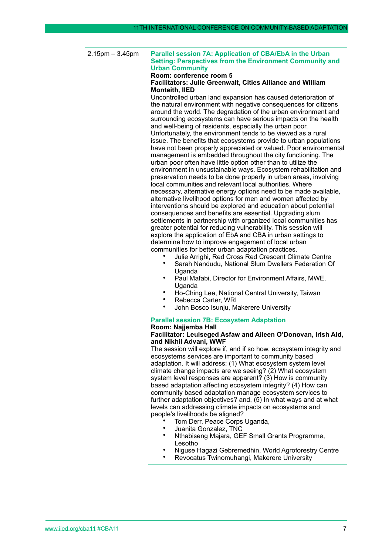2.15pm – 3.45pm **Parallel session 7A: Application of CBA/EbA in the Urban Setting: Perspectives from the Environment Community and Urban Community**

# **Room: conference room 5**

# **Facilitators: Julie Greenwalt, Cities Alliance and William Monteith, IIED**

Uncontrolled urban land expansion has caused deterioration of the natural environment with negative consequences for citizens around the world. The degradation of the urban environment and surrounding ecosystems can have serious impacts on the health and well-being of residents, especially the urban poor. Unfortunately, the environment tends to be viewed as a rural issue. The benefits that ecosystems provide to urban populations have not been properly appreciated or valued. Poor environmental management is embedded throughout the city functioning. The urban poor often have little option other than to utilize the environment in unsustainable ways. Ecosystem rehabilitation and preservation needs to be done properly in urban areas, involving local communities and relevant local authorities. Where necessary, alternative energy options need to be made available, alternative livelihood options for men and women affected by interventions should be explored and education about potential consequences and benefits are essential. Upgrading slum settlements in partnership with organized local communities has greater potential for reducing vulnerability. This session will explore the application of EbA and CBA in urban settings to determine how to improve engagement of local urban communities for better urban adaptation practices.

- Julie Arrighi, Red Cross Red Crescent Climate Centre
- Sarah Nandudu, National Slum Dwellers Federation Of Uganda
- Paul Mafabi, Director for Environment Affairs, MWE, Uganda
- Ho-Ching Lee, National Central University, Taiwan
- Rebecca Carter, WRI
- John Bosco Isunju, Makerere University

#### **Parallel session 7B: Ecosystem Adaptation**

# **Room: Najjemba Hall**

# **Facilitator: Leulseged Asfaw and Aileen O'Donovan, Irish Aid, and Nikhil Advani, WWF**

The session will explore if, and if so how, ecosystem integrity and ecosystems services are important to community based adaptation. It will address: (1) What ecosystem system level climate change impacts are we seeing? (2) What ecosystem system level responses are apparent? (3) How is community based adaptation affecting ecosystem integrity? (4) How can community based adaptation manage ecosystem services to further adaptation objectives? and, (5) In what ways and at what levels can addressing climate impacts on ecosystems and people's livelihoods be aligned?

- Tom Derr, Peace Corps Uganda,
- Juanita Gonzalez, TNC
- Nthabiseng Majara, GEF Small Grants Programme, Lesotho
- Niguse Hagazi Gebremedhin, World Agroforestry Centre
- Revocatus Twinomuhangi, Makerere University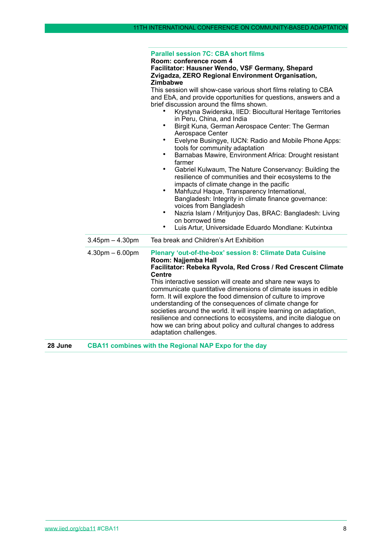#### **Parallel session 7C: CBA short films**

#### **Room: conference room 4 Facilitator: Hausner Wendo, VSF Germany, Shepard Zvigadza, ZERO Regional Environment Organisation, Zimbabwe**

This session will show-case various short films relating to CBA and EbA, and provide opportunities for questions, answers and a brief discussion around the films shown.

- Krystyna Swiderska, IIED: Biocultural Heritage Territories in Peru, China, and India
- Birgit Kuna, German Aerospace Center: The German Aerospace Center
- Evelyne Busingye, IUCN: Radio and Mobile Phone Apps: tools for community adaptation
- Barnabas Mawire, Environment Africa: Drought resistant farmer
- Gabriel Kulwaum, The Nature Conservancy: Building the resilience of communities and their ecosystems to the impacts of climate change in the pacific
- Mahfuzul Haque, Transparency International, Bangladesh: Integrity in climate finance governance: voices from Bangladesh
- Nazria Islam / Mritjunjoy Das, BRAC: Bangladesh: Living on borrowed time
- Luis Artur, Universidade Eduardo Mondlane: Kutxintxa

| $3.45$ pm $- 4.30$ pm | Tea break and Children's Art Exhibition                                                                                                                                                                                                                                                                                                                                                                                                                                                          |
|-----------------------|--------------------------------------------------------------------------------------------------------------------------------------------------------------------------------------------------------------------------------------------------------------------------------------------------------------------------------------------------------------------------------------------------------------------------------------------------------------------------------------------------|
| $4.30pm - 6.00pm$     | <b>Plenary 'out-of-the-box' session 8: Climate Data Cuisine</b><br>Room: Najjemba Hall<br>Facilitator: Rebeka Ryvola, Red Cross / Red Crescent Climate<br><b>Centre</b>                                                                                                                                                                                                                                                                                                                          |
|                       | This interactive session will create and share new ways to<br>communicate quantitative dimensions of climate issues in edible<br>form. It will explore the food dimension of culture to improve<br>understanding of the consequences of climate change for<br>societies around the world. It will inspire learning on adaptation,<br>resilience and connections to ecosystems, and incite dialogue on<br>how we can bring about policy and cultural changes to address<br>adaptation challenges. |

**28 June CBA11 combines with the Regional NAP Expo for the day**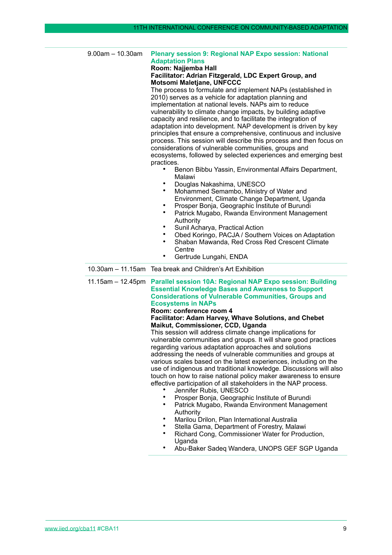|  | $9.00am - 10.30am$ | <b>Plenary session 9: Regional NAP Expo session: National</b><br><b>Adaptation Plans</b><br>Room: Najjemba Hall<br>Facilitator: Adrian Fitzgerald, LDC Expert Group, and<br>Motsomi Maletjane, UNFCCC<br>The process to formulate and implement NAPs (established in<br>2010) serves as a vehicle for adaptation planning and<br>implementation at national levels. NAPs aim to reduce<br>vulnerability to climate change impacts, by building adaptive<br>capacity and resilience, and to facilitate the integration of<br>adaptation into development. NAP development is driven by key<br>principles that ensure a comprehensive, continuous and inclusive<br>process. This session will describe this process and then focus on<br>considerations of vulnerable communities, groups and<br>ecosystems, followed by selected experiences and emerging best<br>practices.<br>Benon Bibbu Yassin, Environmental Affairs Department,<br>Malawi<br>Douglas Nakashima, UNESCO<br>٠<br>Mohammed Semambo, Ministry of Water and<br>$\bullet$<br>Environment, Climate Change Department, Uganda<br>Prosper Bonja, Geographic Institute of Burundi<br>٠<br>$\bullet$<br>Patrick Mugabo, Rwanda Environment Management<br>Authority<br>Sunil Acharya, Practical Action<br>٠<br>Obed Koringo, PACJA / Southern Voices on Adaptation<br>Shaban Mawanda, Red Cross Red Crescent Climate<br>٠<br>Centre<br>٠ |
|--|--------------------|---------------------------------------------------------------------------------------------------------------------------------------------------------------------------------------------------------------------------------------------------------------------------------------------------------------------------------------------------------------------------------------------------------------------------------------------------------------------------------------------------------------------------------------------------------------------------------------------------------------------------------------------------------------------------------------------------------------------------------------------------------------------------------------------------------------------------------------------------------------------------------------------------------------------------------------------------------------------------------------------------------------------------------------------------------------------------------------------------------------------------------------------------------------------------------------------------------------------------------------------------------------------------------------------------------------------------------------------------------------------------------------------------|
|  |                    | Gertrude Lungahi, ENDA<br>10.30am - 11.15am Tea break and Children's Art Exhibition                                                                                                                                                                                                                                                                                                                                                                                                                                                                                                                                                                                                                                                                                                                                                                                                                                                                                                                                                                                                                                                                                                                                                                                                                                                                                                               |
|  |                    |                                                                                                                                                                                                                                                                                                                                                                                                                                                                                                                                                                                                                                                                                                                                                                                                                                                                                                                                                                                                                                                                                                                                                                                                                                                                                                                                                                                                   |
|  | 11.15am - 12.45pm  | Parallel session 10A: Regional NAP Expo session: Building<br><b>Essential Knowledge Bases and Awareness to Support</b><br><b>Considerations of Vulnerable Communities, Groups and</b><br><b>Ecosystems in NAPs</b><br>Room: conference room 4<br>Facilitator: Adam Harvey, Whave Solutions, and Chebet<br>Maikut, Commissioner, CCD, Uganda<br>This session will address climate change implications for<br>vulnerable communities and groups. It will share good practices<br>regarding various adaptation approaches and solutions<br>addressing the needs of vulnerable communities and groups at<br>various scales based on the latest experiences, including on the<br>use of indigenous and traditional knowledge. Discussions will also<br>touch on how to raise national policy maker awareness to ensure<br>effective participation of all stakeholders in the NAP process.<br>Jennifer Rubis, UNESCO<br>$\bullet$<br>Prosper Bonja, Geographic Institute of Burundi<br>Patrick Mugabo, Rwanda Environment Management<br>٠<br>Authority<br>Marilou Drilon, Plan International Australia<br>٠<br>Stella Gama, Department of Forestry, Malawi<br>$\bullet$<br>Richard Cong, Commissioner Water for Production,<br>Uganda                                                                                                                                                                   |

• Abu-Baker Sadeq Wandera, UNOPS GEF SGP Uganda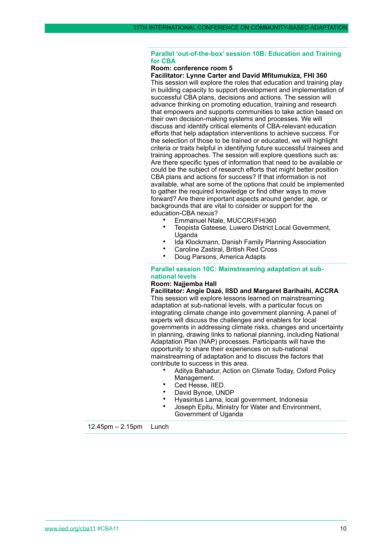# **Parallel 'out-of-the-box' session 10B: Education and Training for CBA**

#### **Room: conference room 5**

**Facilitator: Lynne Carter and David Mfitumukiza, FHI 360** This session will explore the roles that education and training play in building capacity to support development and implementation of successful CBA plans, decisions and actions. The session will advance thinking on promoting education, training and research that empowers and supports communities to take action based on their own decision-making systems and processes. We will discuss and identify critical elements of CBA-relevant education efforts that help adaptation interventions to achieve success. For the selection of those to be trained or educated, we will highlight criteria or traits helpful in identifying future successful trainees and training approaches. The session will explore questions such as: Are there specific types of information that need to be available or could be the subject of research efforts that might better position CBA plans and actions for success? If that information is not available, what are some of the options that could be implemented to gather the required knowledge or find other ways to move forward? Are there important aspects around gender, age, or backgrounds that are vital to consider or support for the education-CBA nexus?

- Emmanuel Ntale, MUCCRI/FHi360
- Teopista Gateese, Luwero District Local Government, Uganda
- Ida Klockmann, Danish Family Planning Association
- Caroline Zastiral, British Red Cross<br>• Doug Parsons, America Adapts
- Doug Parsons, America Adapts

# **Parallel session 10C: Mainstreaming adaptation at subnational levels**

#### **Room: Najjemba Hall**

**Facilitator: Angie Dazé, IISD and Margaret Barihaihi, ACCRA**  This session will explore lessons learned on mainstreaming adaptation at sub-national levels, with a particular focus on integrating climate change into government planning. A panel of experts will discuss the challenges and enablers for local governments in addressing climate risks, changes and uncertainty in planning, drawing links to national planning, including National Adaptation Plan (NAP) processes. Participants will have the opportunity to share their experiences on sub-national mainstreaming of adaptation and to discuss the factors that contribute to success in this area.

- Aditya Bahadur, Action on Climate Today, Oxford Policy Management.
- Ced Hesse, IIED.
- David Bynoe, UNDP
- Hyasintus Lama, local government, Indonesia
- Joseph Epitu, Ministry for Water and Environment, Government of Uganda

12.45pm – 2.15pm Lunch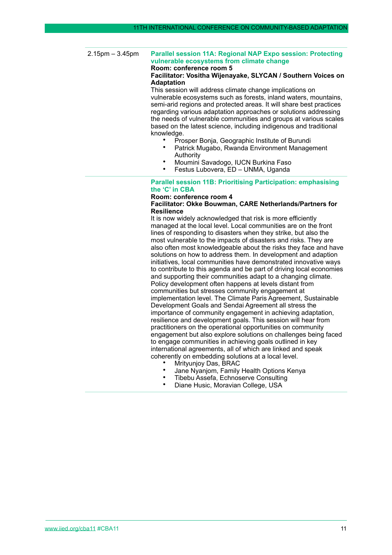2.15pm – 3.45pm **Parallel session 11A: Regional NAP Expo session: Protecting vulnerable ecosystems from climate change Room: conference room 5**

# **Facilitator: Vositha Wijenayake, SLYCAN / Southern Voices on Adaptation**

This session will address climate change implications on vulnerable ecosystems such as forests, inland waters, mountains, semi-arid regions and protected areas. It will share best practices regarding various adaptation approaches or solutions addressing the needs of vulnerable communities and groups at various scales based on the latest science, including indigenous and traditional knowledge.

- Prosper Bonja, Geographic Institute of Burundi
- Patrick Mugabo, Rwanda Environment Management Authority
- Moumini Savadogo, IUCN Burkina Faso
	- Festus Lubovera, ED UNMA, Uganda

# **Parallel session 11B: Prioritising Participation: emphasising the 'C' in CBA**

#### **Room: conference room 4 Facilitator: Okke Bouwman, CARE Netherlands/Partners for Resilience**

It is now widely acknowledged that risk is more efficiently managed at the local level. Local communities are on the front lines of responding to disasters when they strike, but also the most vulnerable to the impacts of disasters and risks. They are also often most knowledgeable about the risks they face and have solutions on how to address them. In development and adaption initiatives, local communities have demonstrated innovative ways to contribute to this agenda and be part of driving local economies and supporting their communities adapt to a changing climate. Policy development often happens at levels distant from communities but stresses community engagement at implementation level. The Climate Paris Agreement, Sustainable Development Goals and Sendai Agreement all stress the importance of community engagement in achieving adaptation, resilience and development goals. This session will hear from practitioners on the operational opportunities on community engagement but also explore solutions on challenges being faced to engage communities in achieving goals outlined in key international agreements, all of which are linked and speak coherently on embedding solutions at a local level.

- Mrityunjoy Das, BRAC
- Jane Nyanjom, Family Health Options Kenya
- Tibebu Assefa, Echnoserve Consulting
- Diane Husic, Moravian College, USA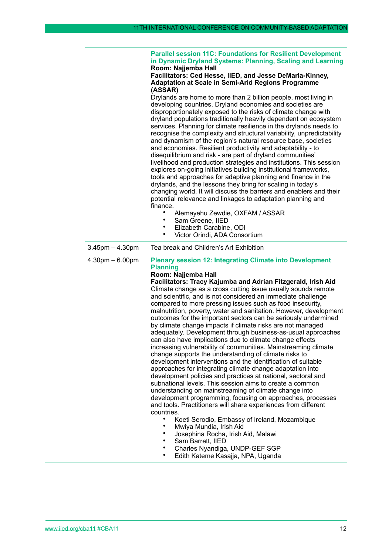#### **Parallel session 11C: Foundations for Resilient Development in Dynamic Dryland Systems: Planning, Scaling and Learning Room: Najjemba Hall**

# **Facilitators: Ced Hesse, IIED, and Jesse DeMaria-Kinney, Adaptation at Scale in Semi-Arid Regions Programme (ASSAR)**

Drylands are home to more than 2 billion people, most living in developing countries. Dryland economies and societies are disproportionately exposed to the risks of climate change with dryland populations traditionally heavily dependent on ecosystem services. Planning for climate resilience in the drylands needs to recognise the complexity and structural variability, unpredictability and dynamism of the region's natural resource base, societies and economies. Resilient productivity and adaptability - to disequilibrium and risk - are part of dryland communities' livelihood and production strategies and institutions. This session explores on-going initiatives building institutional frameworks, tools and approaches for adaptive planning and finance in the drylands, and the lessons they bring for scaling in today's changing world. It will discuss the barriers and enablers and their potential relevance and linkages to adaptation planning and finance.

- Alemayehu Zewdie, OXFAM / ASSAR
- Sam Greene, IIED<br>• Elizabeth Carabine
- Elizabeth Carabine, ODI
- Victor Orindi, ADA Consortium

|  | $3.45$ pm $- 4.30$ pm | Tea break and Children's Art Exhibition                                                                                                                                                                                                                                                                                                                                                                                                                                                                                                                                                                                                                                                                                                                                                                                                                                                                                                                                         |
|--|-----------------------|---------------------------------------------------------------------------------------------------------------------------------------------------------------------------------------------------------------------------------------------------------------------------------------------------------------------------------------------------------------------------------------------------------------------------------------------------------------------------------------------------------------------------------------------------------------------------------------------------------------------------------------------------------------------------------------------------------------------------------------------------------------------------------------------------------------------------------------------------------------------------------------------------------------------------------------------------------------------------------|
|  | $4.30pm - 6.00pm$     | <b>Plenary session 12: Integrating Climate into Development</b><br><b>Planning</b><br>Room: Najjemba Hall                                                                                                                                                                                                                                                                                                                                                                                                                                                                                                                                                                                                                                                                                                                                                                                                                                                                       |
|  |                       | Facilitators: Tracy Kajumba and Adrian Fitzgerald, Irish Aid<br>Climate change as a cross cutting issue usually sounds remote<br>and scientific, and is not considered an immediate challenge<br>compared to more pressing issues such as food insecurity,<br>malnutrition, poverty, water and sanitation. However, development<br>outcomes for the important sectors can be seriously undermined<br>by climate change impacts if climate risks are not managed<br>adequately. Development through business-as-usual approaches<br>can also have implications due to climate change effects<br>increasing vulnerability of communities. Mainstreaming climate<br>change supports the understanding of climate risks to<br>development interventions and the identification of suitable<br>approaches for integrating climate change adaptation into<br>development policies and practices at national, sectoral and<br>subnational levels. This session aims to create a common |
|  |                       | understanding on mainstreaming of climate change into<br>development programming, focusing on approaches, processes                                                                                                                                                                                                                                                                                                                                                                                                                                                                                                                                                                                                                                                                                                                                                                                                                                                             |
|  |                       | and tools. Practitioners will share experiences from different<br>countries.                                                                                                                                                                                                                                                                                                                                                                                                                                                                                                                                                                                                                                                                                                                                                                                                                                                                                                    |
|  |                       | Koeti Serodio, Embassy of Ireland, Mozambique                                                                                                                                                                                                                                                                                                                                                                                                                                                                                                                                                                                                                                                                                                                                                                                                                                                                                                                                   |
|  |                       | Mwiya Mundia, Irish Aid                                                                                                                                                                                                                                                                                                                                                                                                                                                                                                                                                                                                                                                                                                                                                                                                                                                                                                                                                         |
|  |                       | Josephina Rocha, Irish Aid, Malawi<br>Sam Barrett, IIED<br>٠                                                                                                                                                                                                                                                                                                                                                                                                                                                                                                                                                                                                                                                                                                                                                                                                                                                                                                                    |
|  |                       | Charles Nyandiga, UNDP-GEF SGP                                                                                                                                                                                                                                                                                                                                                                                                                                                                                                                                                                                                                                                                                                                                                                                                                                                                                                                                                  |